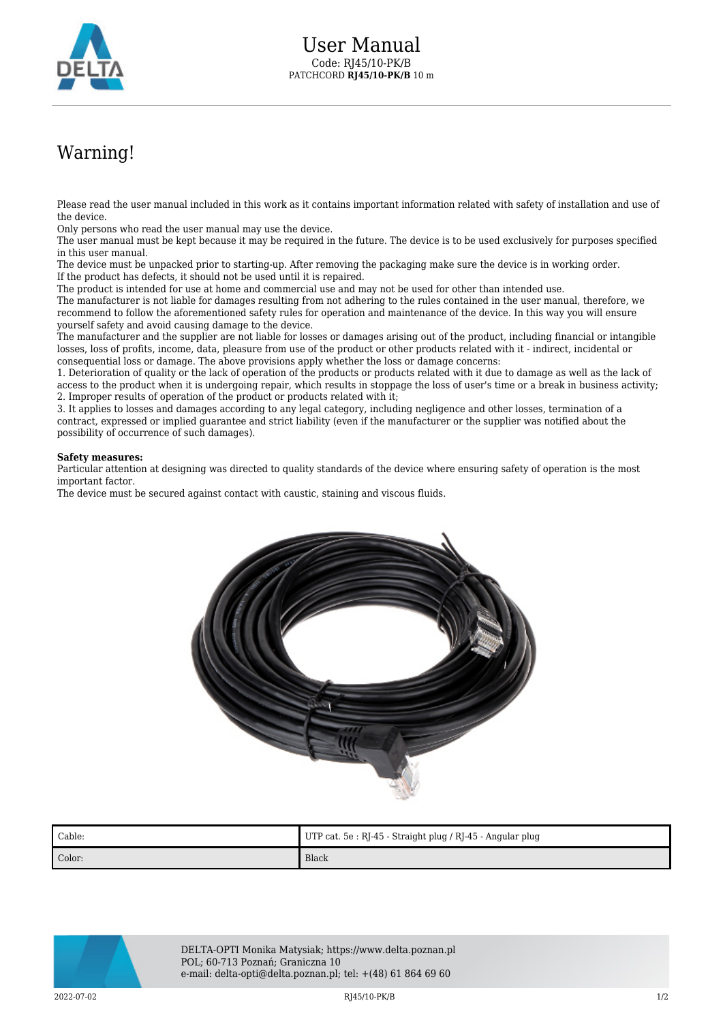

## Warning!

Please read the user manual included in this work as it contains important information related with safety of installation and use of the device.

Only persons who read the user manual may use the device.

The user manual must be kept because it may be required in the future. The device is to be used exclusively for purposes specified in this user manual.

The device must be unpacked prior to starting-up. After removing the packaging make sure the device is in working order. If the product has defects, it should not be used until it is repaired.

The product is intended for use at home and commercial use and may not be used for other than intended use.

The manufacturer is not liable for damages resulting from not adhering to the rules contained in the user manual, therefore, we recommend to follow the aforementioned safety rules for operation and maintenance of the device. In this way you will ensure yourself safety and avoid causing damage to the device.

The manufacturer and the supplier are not liable for losses or damages arising out of the product, including financial or intangible losses, loss of profits, income, data, pleasure from use of the product or other products related with it - indirect, incidental or consequential loss or damage. The above provisions apply whether the loss or damage concerns:

1. Deterioration of quality or the lack of operation of the products or products related with it due to damage as well as the lack of access to the product when it is undergoing repair, which results in stoppage the loss of user's time or a break in business activity; 2. Improper results of operation of the product or products related with it;

3. It applies to losses and damages according to any legal category, including negligence and other losses, termination of a contract, expressed or implied guarantee and strict liability (even if the manufacturer or the supplier was notified about the possibility of occurrence of such damages).

## **Safety measures:**

Particular attention at designing was directed to quality standards of the device where ensuring safety of operation is the most important factor.

The device must be secured against contact with caustic, staining and viscous fluids.



| Cable: | UTP cat. 5e: RJ-45 - Straight plug / RJ-45 - Angular plug |
|--------|-----------------------------------------------------------|
| Color: | Black                                                     |



DELTA-OPTI Monika Matysiak; https://www.delta.poznan.pl POL; 60-713 Poznań; Graniczna 10 e-mail: delta-opti@delta.poznan.pl; tel: +(48) 61 864 69 60

2022-07-02 RJ45/10-PK/B 1/2